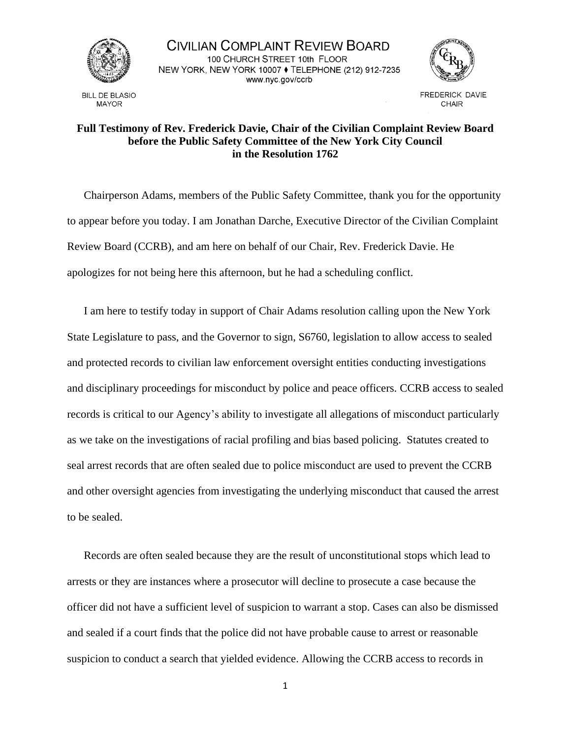

**BILL DE BLASIO MAYOR** 

CIVILIAN COMPLAINT REVIEW BOARD 100 CHURCH STREET 10th FLOOR NEW YORK, NEW YORK 10007 ♦ TELEPHONE (212) 912-7235 www.nyc.gov/ccrb



**FREDERICK DAVIE** CHAIR

## **Full Testimony of Rev. Frederick Davie, Chair of the Civilian Complaint Review Board before the Public Safety Committee of the New York City Council in the Resolution 1762**

Chairperson Adams, members of the Public Safety Committee, thank you for the opportunity to appear before you today. I am Jonathan Darche, Executive Director of the Civilian Complaint Review Board (CCRB), and am here on behalf of our Chair, Rev. Frederick Davie. He apologizes for not being here this afternoon, but he had a scheduling conflict.

I am here to testify today in support of Chair Adams resolution calling upon the New York State Legislature to pass, and the Governor to sign, S6760, legislation to allow access to sealed and protected records to civilian law enforcement oversight entities conducting investigations and disciplinary proceedings for misconduct by police and peace officers. CCRB access to sealed records is critical to our Agency's ability to investigate all allegations of misconduct particularly as we take on the investigations of racial profiling and bias based policing. Statutes created to seal arrest records that are often sealed due to police misconduct are used to prevent the CCRB and other oversight agencies from investigating the underlying misconduct that caused the arrest to be sealed.

Records are often sealed because they are the result of unconstitutional stops which lead to arrests or they are instances where a prosecutor will decline to prosecute a case because the officer did not have a sufficient level of suspicion to warrant a stop. Cases can also be dismissed and sealed if a court finds that the police did not have probable cause to arrest or reasonable suspicion to conduct a search that yielded evidence. Allowing the CCRB access to records in